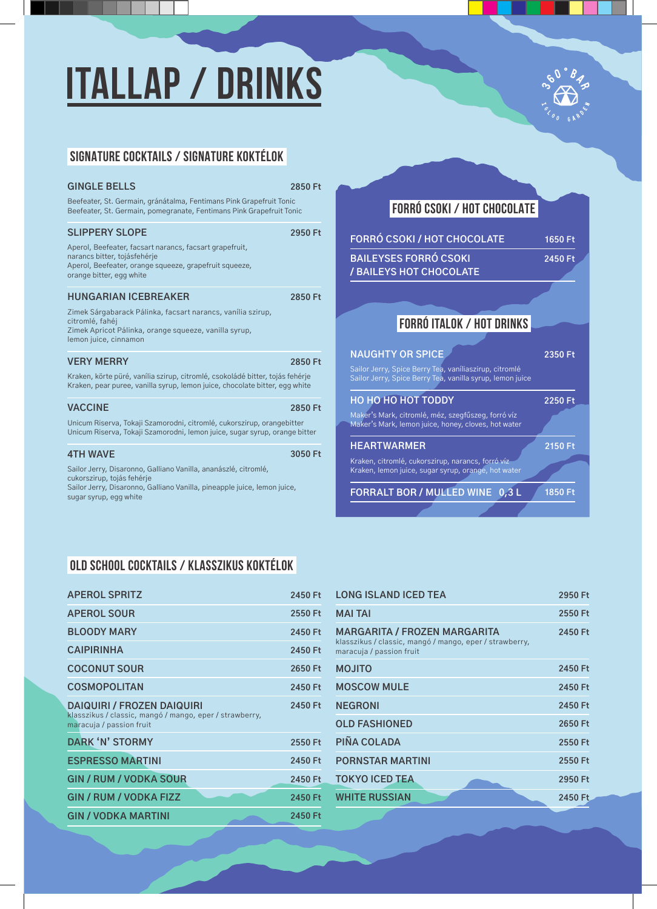# **ITALLAP / DRINKS**



### **SIGNATURE COCKTAILS / SIGNATURE koktélOK**

| 2850 Ft<br>Beefeater, St. Germain, gránátalma, Fentimans Pink Grapefruit Tonic<br>Beefeater, St. Germain, pomegranate, Fentimans Pink Grapefruit Tonic                  |                                                                  |
|-------------------------------------------------------------------------------------------------------------------------------------------------------------------------|------------------------------------------------------------------|
| 2950 Ft                                                                                                                                                                 | <b>FORRÓ C</b><br><b>BAILEYSI</b><br>/ BAILEYS                   |
| 2850 Ft                                                                                                                                                                 |                                                                  |
| 2850 Ft<br>Kraken, körte püré, vanília szirup, citromlé, csokoládé bitter, tojás fehérje<br>Kraken, pear puree, vanilla syrup, lemon juice, chocolate bitter, egg white | <b>NAUGHT</b><br>Sailor Jerry,<br>Sailor Jerry,                  |
| 2850 Ft<br>Unicum Riserva, Tokaji Szamorodni, citromlé, cukorszirup, orangebitter<br>Unicum Riserva, Tokaji Szamorodni, lemon juice, sugar syrup, orange bitter         | НО НО НО<br>Maker's Marl<br>Maker's Marl                         |
| 3050 Ft<br>Sailor Jerry, Disaronno, Galliano Vanilla, pineapple juice, lemon juice,                                                                                     | <b>HEARTW</b><br>Kraken, citro<br>Kraken, lemc<br><b>FORRALT</b> |
|                                                                                                                                                                         |                                                                  |

#### **FORRÓ CSOKI / HOT CHOCOLATE**

| <b>FORRÓ CSOKI / HOT CHOCOLATE</b>                                                                                  | $1650$ Ft |
|---------------------------------------------------------------------------------------------------------------------|-----------|
| <b>BAILEYSES FORRÓ CSOKI</b><br>/ BAILEYS HOT CHOCOLATE                                                             | 2450 Ft   |
|                                                                                                                     |           |
|                                                                                                                     |           |
| <b>FORRÓ ITALOK / HOT DRINKS</b>                                                                                    |           |
| <b>NAUGHTY OR SPICE</b>                                                                                             | 2350 Ft   |
| Sailor Jerry, Spice Berry Tea, vaníliaszirup, citromlé<br>Sailor Jerry, Spice Berry Tea, vanilla syrup, lemon juice |           |
| НО НО НО НОТ ТОDDY                                                                                                  | 2250 Ft   |
| Maker's Mark, citromlé, méz, szegfűszeg, forró víz<br>Maker's Mark, lemon juice, honey, cloves, hot water           |           |
| <b>HEARTWARMER</b>                                                                                                  | 2150 Ft   |
| Kraken, citromlé, cukorszirup, narancs, forró víz<br>Kraken, lemon juice, sugar syrup, orange, hot water            |           |
| FORRALT BOR / MULLED WINE 0,3 L                                                                                     | 1850 Ft   |
|                                                                                                                     |           |

#### **OLD SCHOOL COCKTAILS / KLASSZIKUS koktélOK**

| <b>APEROL SPRITZ</b>                                                                                                     | 2450 Ft |
|--------------------------------------------------------------------------------------------------------------------------|---------|
| <b>APEROL SOUR</b>                                                                                                       | 2550 Ft |
| <b>BLOODY MARY</b>                                                                                                       | 2450 Ft |
| <b>CAIPIRINHA</b>                                                                                                        | 2450 Ft |
| <b>COCONUT SOUR</b>                                                                                                      | 2650 Ft |
| <b>COSMOPOLITAN</b>                                                                                                      | 2450 Ft |
| <b>DAIQUIRI / FROZEN DAIQUIRI</b><br>klasszikus / classic, mangó / mango, eper / strawberry,<br>maracuja / passion fruit | 2450 Ft |
| DARK 'N' STORMY                                                                                                          | 2550 Ft |
| <b>ESPRESSO MARTINI</b>                                                                                                  | 2450 Ft |
| <b>GIN / RUM / VODKA SOUR</b>                                                                                            | 2450 Ft |
| <b>GIN / RUM / VODKA FIZZ</b>                                                                                            | 2450 Ft |
| <b>GIN / VODKA MARTINI</b>                                                                                               | 2450 Ft |

| <b>LONG ISLAND ICED TEA</b>                                                                                         | 2950 Ft |
|---------------------------------------------------------------------------------------------------------------------|---------|
| <b>MAI TAI</b>                                                                                                      | 2550 Ft |
| MARGARITA / FROZEN MARGARITA<br>klasszikus / classic, mangó / mango, eper / strawberry,<br>maracuja / passion fruit | 2450 Ft |
| <b>OTILOM</b>                                                                                                       | 2450 Ft |
| <b>MOSCOW MULE</b>                                                                                                  | 2450 Ft |
| <b>NEGRONI</b>                                                                                                      | 2450 Ft |
| <b>OLD FASHIONED</b>                                                                                                | 2650 Ft |
| PIÑA COLADA                                                                                                         | 2550 Ft |
| <b>PORNSTAR MARTINI</b>                                                                                             | 2550 Ft |
| <b>TOKYO ICED TEA</b>                                                                                               | 2950 Ft |
| <b>WHITE RUSSIAN</b>                                                                                                | 2450 Ft |
|                                                                                                                     |         |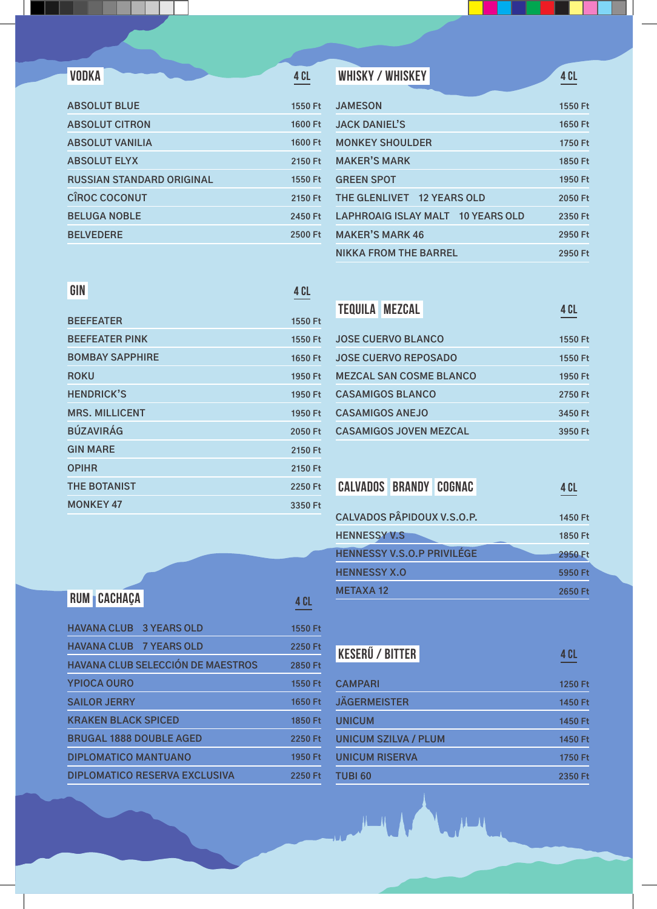| <b>ABSOLUT BLUE</b>              | 1550 Ft |
|----------------------------------|---------|
| <b>ABSOLUT CITRON</b>            | 1600 Ft |
| <b>ABSOLUT VANILIA</b>           | 1600 Ft |
| <b>ABSOLUT ELYX</b>              | 2150 Ft |
| <b>RUSSIAN STANDARD ORIGINAL</b> | 1550 Ft |
| <b>CÎROC COCONUT</b>             | 2150 Ft |
| <b>BELUGA NOBLE</b>              | 2450 Ft |
| <b>BELVEDERE</b>                 | 2500 Ft |
|                                  |         |

| <b>VODKA</b>              | 4 CL    | WHISKY / WHISKEY                            | 4 CL    |
|---------------------------|---------|---------------------------------------------|---------|
| <b>ABSOLUT BLUE</b>       | 1550 Ft | <b>JAMESON</b>                              | 1550 Ft |
| <b>ABSOLUT CITRON</b>     | 1600 Ft | <b>JACK DANIEL'S</b>                        | 1650 Ft |
| ABSOLUT VANILIA           | 1600 Ft | <b>MONKEY SHOULDER</b>                      | 1750 Ft |
| <b>ABSOLUT ELYX</b>       | 2150 Ft | <b>MAKER'S MARK</b>                         | 1850 Ft |
| RUSSIAN STANDARD ORIGINAL | 1550 Ft | <b>GREEN SPOT</b>                           | 1950 Ft |
| <b>CÎROC COCONUT</b>      | 2150 Ft | <b>THE GLENLIVET</b><br><b>12 YEARS OLD</b> | 2050 Ft |

**2350 Ft 2950 Ft 2950 Ft**

**2350 Ft**

**LAPHROAIG ISLAY MALT 10 YEARS OLD**

**MAKER'S MARK 46**

**NIKKA FROM THE BARREL**

#### **GIN**

**4 Cl**

| <b>BEEFEATER</b>       | 1550 Ft |
|------------------------|---------|
| <b>BEEFEATER PINK</b>  | 1550 Ft |
| <b>BOMBAY SAPPHIRE</b> | 1650 Ft |
| <b>ROKU</b>            | 1950 Ft |
| <b>HENDRICK'S</b>      | 1950 Ft |
| <b>MRS. MILLICENT</b>  | 1950 Ft |
| <b>BÚZAVIRÁG</b>       | 2050 Ft |
| <b>GIN MARE</b>        | 2150 Ft |
| <b>OPIHR</b>           | 2150 Ft |
| <b>THE BOTANIST</b>    | 2250 Ft |
| <b>MONKEY 47</b>       | 3350 Ft |

|                           | <b>TEQUILA MEZCAL</b> |                                | 4 CL    |
|---------------------------|-----------------------|--------------------------------|---------|
| <b>JOSE CUERVO BLANCO</b> |                       |                                | 1550 Ft |
| JOSE CUERVO REPOSADO      |                       |                                | 1550 Ft |
|                           |                       | <b>MEZCAL SAN COSME BLANCO</b> | 1950 Ft |
| <b>CASAMIGOS BLANCO</b>   |                       |                                | 2750 Ft |
| <b>CASAMIGOS ANEJO</b>    |                       |                                | 3450 Ft |
|                           |                       | <b>CASAMIGOS JOVEN MEZCAL</b>  | 3950 Ft |

| <b>CALVADOS BRANDY COGNAC</b>     |  | 4 CL    |
|-----------------------------------|--|---------|
|                                   |  |         |
| <b>CALVADOS PÂPIDOUX V.S.O.P.</b> |  | 1450 Ft |
| <b>HENNESSY V.S</b>               |  | 1850 Ft |
| <b>HENNESSY V.S.O.P PRIVILÉGE</b> |  | 2950 Ft |
| <b>HENNESSY X.O</b>               |  | 5950 Ft |
| <b>METAXA12</b>                   |  | 2650 Ft |

| <b>RUM CACHAÇA</b>                       | 4 CL    |
|------------------------------------------|---------|
| <b>HAVANA CLUB 3 YEARS OLD</b>           | 1550 Ft |
| <b>HAVANA CLUB 7 YEARS OLD</b>           | 2250 Ft |
| <b>HAVANA CLUB SELECCIÓN DE MAESTROS</b> | 2850 Ft |
| <b>YPIOCA OURO</b>                       | 1550 Ft |
| <b>SAILOR JERRY</b>                      | 1650 Ft |
| <b>KRAKEN BLACK SPICED</b>               | 1850 Ft |
| <b>BRUGAL 1888 DOUBLE AGED</b>           | 2250 Ft |
| <b>DIPLOMATICO MANTUANO</b>              | 1950 Ft |
| <b>DIPLOMATICO RESERVA EXCLUSIVA</b>     | 2250 Ft |

| <b>KESERÜ / BITTER</b>      | <b>4 CL</b> |
|-----------------------------|-------------|
|                             |             |
| <b>CAMPARI</b>              | 1250 Ft     |
| <b>JÄGERMEISTER</b>         | 1450 Ft     |
| <b>UNICUM</b>               | 1450 Ft     |
| <b>UNICUM SZILVA / PLUM</b> | 1450 Ft     |
| <b>UNICUM RISERVA</b>       | 1750 Ft     |



**TUBI 60**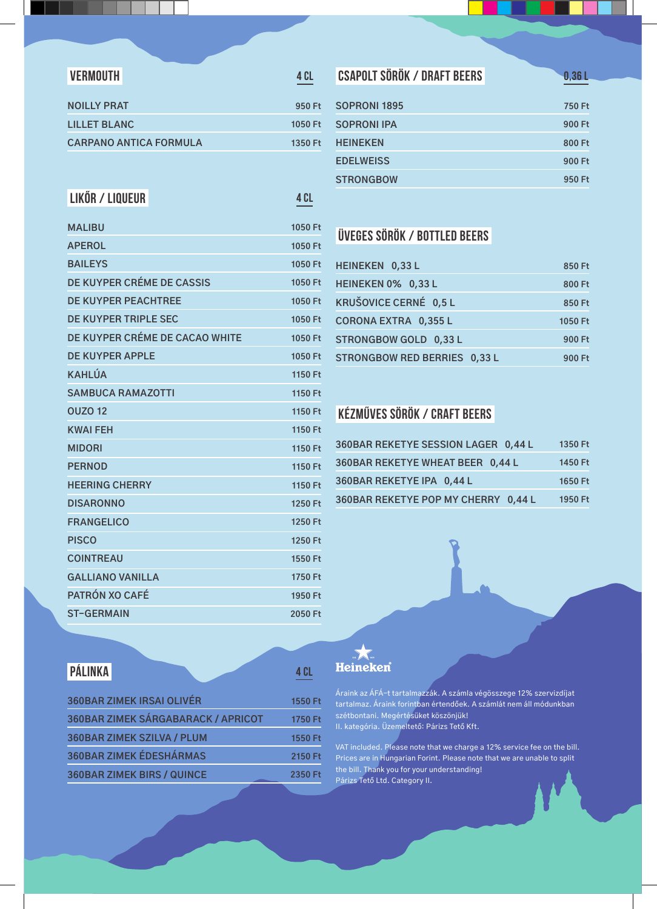| <b>VERMOUTH</b>               | 4 C L   |
|-------------------------------|---------|
| <b>NOILLY PRAT</b>            | 950 Ft  |
| <b>LILLET BLANC</b>           | 1050 Ft |
| <b>CARPANO ANTICA FORMULA</b> | 1350 Ft |
|                               |         |

#### **Likőr / Liqueur**

| <b>MALIBU</b>                  | 1050 Ft |
|--------------------------------|---------|
| <b>APEROL</b>                  | 1050 Ft |
| <b>BAILEYS</b>                 | 1050 Ft |
| DE KUYPER CRÉME DE CASSIS      | 1050 Ft |
| <b>DE KUYPER PEACHTREE</b>     | 1050 Ft |
| DE KUYPER TRIPLE SEC           | 1050 Ft |
| DE KUYPER CRÉME DE CACAO WHITE | 1050 Ft |
| <b>DE KUYPER APPLE</b>         | 1050 Ft |
| <b>KAHLÚA</b>                  | 1150 Ft |
| <b>SAMBUCA RAMAZOTTI</b>       | 1150 Ft |
| <b>OUZO 12</b>                 | 1150 Ft |
| <b>KWAI FEH</b>                | 1150 Ft |
| <b>MIDORI</b>                  | 1150 Ft |
| <b>PERNOD</b>                  | 1150 Ft |
| <b>HEERING CHERRY</b>          | 1150 Ft |
| <b>DISARONNO</b>               | 1250 Ft |
| <b>FRANGELICO</b>              | 1250 Ft |
| <b>PISCO</b>                   | 1250 Ft |
| <b>COINTREAU</b>               | 1550 Ft |
| <b>GALLIANO VANILLA</b>        | 1750 Ft |
| <b>PATRÓN XO CAFÉ</b>          | 1950 Ft |
| <b>ST-GERMAIN</b>              | 2050 Ft |

### **Csapolt SörÖK / Draft BeerS**

**0,36 l**

| <b>SOPRONI 1895</b> | 750 Ft |
|---------------------|--------|
| <b>SOPRONI IPA</b>  | 900 Ft |
| <b>HEINEKEN</b>     | 800 Ft |
| <b>EDELWEISS</b>    | 900 Ft |
| <b>STRONGBOW</b>    | 950 Ft |
|                     |        |

### **Üveges SörÖK / Bottled BeerS**

| HEINEKEN 0,33 L              | 850 Ft  |
|------------------------------|---------|
| HEINEKEN 0% 0,33 L           | 800 Ft  |
| KRUŠOVICE CERNÉ 0,5 L        | 850 Ft  |
| <b>CORONA EXTRA 0,355 L</b>  | 1050 Ft |
| STRONGBOW GOLD 0,33 L        | 900 Ft  |
| STRONGBOW RED BERRIES 0.33 L | 900 Ft  |

### **KÉZMŰVes SörÖK / CRAFT BeerS**

| 360BAR REKETYE SESSION LAGER 0,44 L | 1350 Ft |
|-------------------------------------|---------|
| 360BAR REKETYE WHEAT BEER 0,44 L    | 1450 Ft |
| 360BAR REKETYE IPA 0.44 L           | 1650 Ft |
| 360BAR REKETYE POP MY CHERRY 0,44 L | 1950 Ft |

#### **Pálinka**

| <b>360BAR ZIMEK IRSAI OLIVÉR</b>   | 1550 Ft |
|------------------------------------|---------|
| 360BAR ZIMEK SÁRGABARACK / APRICOT | 1750 Ft |
| <b>360BAR ZIMEK SZILVA / PLUM</b>  | 1550 Ft |
| <b>360BAR ZIMEK ÉDESHÁRMAS</b>     | 2150 Ft |
| <b>360BAR ZIMEK BIRS / QUINCE</b>  | 2350 Ft |

## **Example:**<br>Heineken

**4 Cl**

**4 Cl**

Áraink az ÁFÁ-t tartalmazzák. A számla végösszege 12% szervizdíjat tartalmaz. Áraink forintban értendőek. A számlát nem áll módunkban szétbontani. Megértésüket köszönjük! II. kategória. Üzemeltető: Párizs Tető Kft.

VAT included. Please note that we charge a 12% service fee on the bill. Prices are in Hungarian Forint. Please note that we are unable to split the bill. Thank you for your understanding! Párizs Tető Ltd. Category II.